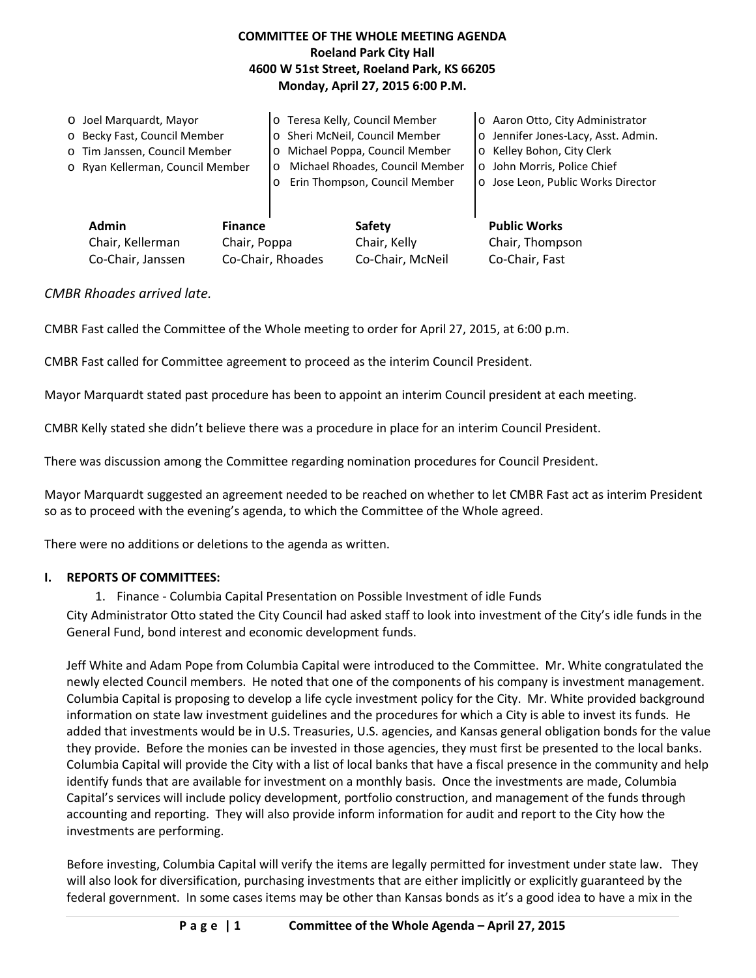## **COMMITTEE OF THE WHOLE MEETING AGENDA Roeland Park City Hall 4600 W 51st Street, Roeland Park, KS 66205 Monday, April 27, 2015 6:00 P.M.**

|                   | O Joel Marquardt, Mayor                                            |                   | o Teresa Kelly, Council Member             |                | o Aaron Otto, City Administrator    |
|-------------------|--------------------------------------------------------------------|-------------------|--------------------------------------------|----------------|-------------------------------------|
|                   | o Becky Fast, Council Member                                       |                   | o Sheri McNeil, Council Member             |                | o Jennifer Jones-Lacy, Asst. Admin. |
|                   | o Tim Janssen, Council Member                                      |                   | o Michael Poppa, Council Member            |                | o Kelley Bohon, City Clerk          |
|                   | o Ryan Kellerman, Council Member                                   |                   | Michael Rhoades, Council Member<br>$\circ$ |                | o John Morris, Police Chief         |
|                   |                                                                    |                   | Erin Thompson, Council Member<br>$\circ$   |                | o Jose Leon, Public Works Director  |
|                   |                                                                    |                   |                                            |                |                                     |
|                   | <b>Admin</b><br><b>Finance</b><br>Chair, Kellerman<br>Chair, Poppa |                   | Safety                                     |                | <b>Public Works</b>                 |
|                   |                                                                    |                   |                                            | Chair, Kelly   | Chair, Thompson                     |
| Co-Chair, Janssen |                                                                    | Co-Chair, Rhoades | Co-Chair, McNeil                           | Co-Chair, Fast |                                     |

## *CMBR Rhoades arrived late.*

CMBR Fast called the Committee of the Whole meeting to order for April 27, 2015, at 6:00 p.m.

CMBR Fast called for Committee agreement to proceed as the interim Council President.

Mayor Marquardt stated past procedure has been to appoint an interim Council president at each meeting.

CMBR Kelly stated she didn't believe there was a procedure in place for an interim Council President.

There was discussion among the Committee regarding nomination procedures for Council President.

Mayor Marquardt suggested an agreement needed to be reached on whether to let CMBR Fast act as interim President so as to proceed with the evening's agenda, to which the Committee of the Whole agreed.

There were no additions or deletions to the agenda as written.

#### **I. REPORTS OF COMMITTEES:**

1. Finance - Columbia Capital Presentation on Possible Investment of idle Funds

City Administrator Otto stated the City Council had asked staff to look into investment of the City's idle funds in the General Fund, bond interest and economic development funds.

Jeff White and Adam Pope from Columbia Capital were introduced to the Committee. Mr. White congratulated the newly elected Council members. He noted that one of the components of his company is investment management. Columbia Capital is proposing to develop a life cycle investment policy for the City. Mr. White provided background information on state law investment guidelines and the procedures for which a City is able to invest its funds. He added that investments would be in U.S. Treasuries, U.S. agencies, and Kansas general obligation bonds for the value they provide. Before the monies can be invested in those agencies, they must first be presented to the local banks. Columbia Capital will provide the City with a list of local banks that have a fiscal presence in the community and help identify funds that are available for investment on a monthly basis. Once the investments are made, Columbia Capital's services will include policy development, portfolio construction, and management of the funds through accounting and reporting. They will also provide inform information for audit and report to the City how the investments are performing.

Before investing, Columbia Capital will verify the items are legally permitted for investment under state law. They will also look for diversification, purchasing investments that are either implicitly or explicitly guaranteed by the federal government. In some cases items may be other than Kansas bonds as it's a good idea to have a mix in the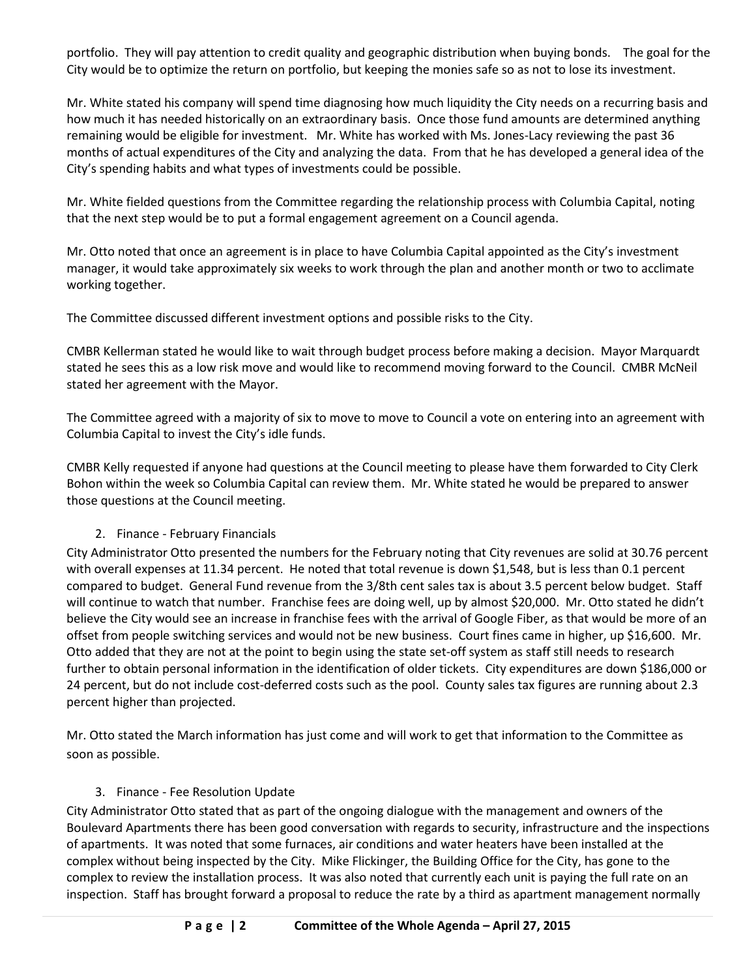portfolio. They will pay attention to credit quality and geographic distribution when buying bonds. The goal for the City would be to optimize the return on portfolio, but keeping the monies safe so as not to lose its investment.

Mr. White stated his company will spend time diagnosing how much liquidity the City needs on a recurring basis and how much it has needed historically on an extraordinary basis. Once those fund amounts are determined anything remaining would be eligible for investment. Mr. White has worked with Ms. Jones-Lacy reviewing the past 36 months of actual expenditures of the City and analyzing the data. From that he has developed a general idea of the City's spending habits and what types of investments could be possible.

Mr. White fielded questions from the Committee regarding the relationship process with Columbia Capital, noting that the next step would be to put a formal engagement agreement on a Council agenda.

Mr. Otto noted that once an agreement is in place to have Columbia Capital appointed as the City's investment manager, it would take approximately six weeks to work through the plan and another month or two to acclimate working together.

The Committee discussed different investment options and possible risks to the City.

CMBR Kellerman stated he would like to wait through budget process before making a decision. Mayor Marquardt stated he sees this as a low risk move and would like to recommend moving forward to the Council. CMBR McNeil stated her agreement with the Mayor.

The Committee agreed with a majority of six to move to move to Council a vote on entering into an agreement with Columbia Capital to invest the City's idle funds.

CMBR Kelly requested if anyone had questions at the Council meeting to please have them forwarded to City Clerk Bohon within the week so Columbia Capital can review them. Mr. White stated he would be prepared to answer those questions at the Council meeting.

## 2. Finance - February Financials

City Administrator Otto presented the numbers for the February noting that City revenues are solid at 30.76 percent with overall expenses at 11.34 percent. He noted that total revenue is down \$1,548, but is less than 0.1 percent compared to budget. General Fund revenue from the 3/8th cent sales tax is about 3.5 percent below budget. Staff will continue to watch that number. Franchise fees are doing well, up by almost \$20,000. Mr. Otto stated he didn't believe the City would see an increase in franchise fees with the arrival of Google Fiber, as that would be more of an offset from people switching services and would not be new business. Court fines came in higher, up \$16,600. Mr. Otto added that they are not at the point to begin using the state set-off system as staff still needs to research further to obtain personal information in the identification of older tickets. City expenditures are down \$186,000 or 24 percent, but do not include cost-deferred costs such as the pool. County sales tax figures are running about 2.3 percent higher than projected.

Mr. Otto stated the March information has just come and will work to get that information to the Committee as soon as possible.

## 3. Finance - Fee Resolution Update

City Administrator Otto stated that as part of the ongoing dialogue with the management and owners of the Boulevard Apartments there has been good conversation with regards to security, infrastructure and the inspections of apartments. It was noted that some furnaces, air conditions and water heaters have been installed at the complex without being inspected by the City. Mike Flickinger, the Building Office for the City, has gone to the complex to review the installation process. It was also noted that currently each unit is paying the full rate on an inspection. Staff has brought forward a proposal to reduce the rate by a third as apartment management normally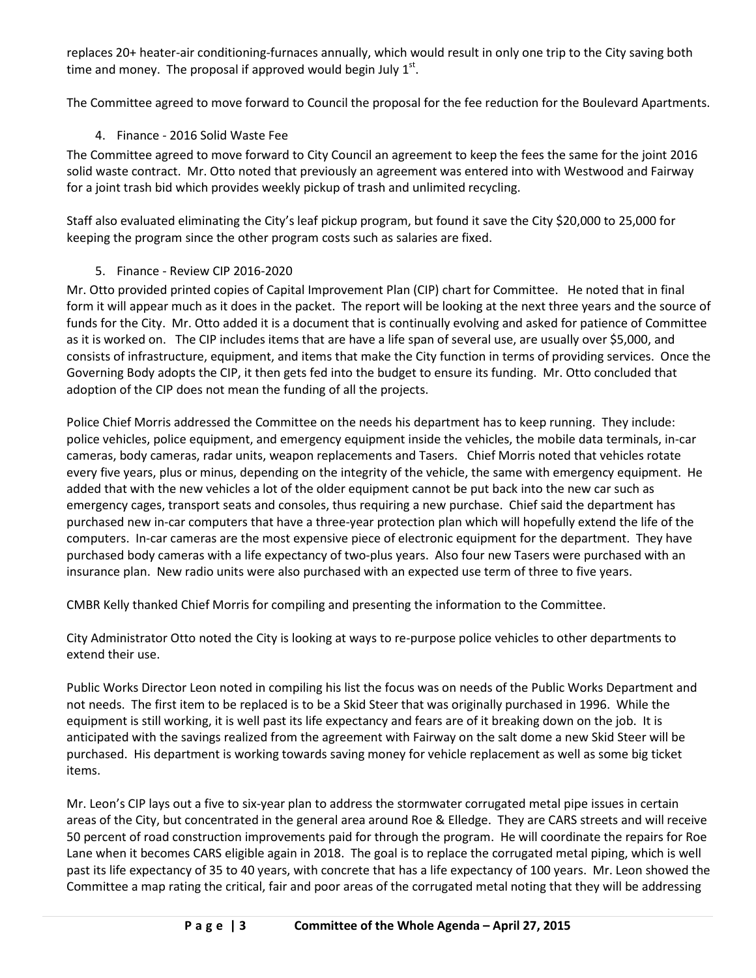replaces 20+ heater-air conditioning-furnaces annually, which would result in only one trip to the City saving both time and money. The proposal if approved would begin July  $1<sup>st</sup>$ .

The Committee agreed to move forward to Council the proposal for the fee reduction for the Boulevard Apartments.

# 4. Finance - 2016 Solid Waste Fee

The Committee agreed to move forward to City Council an agreement to keep the fees the same for the joint 2016 solid waste contract. Mr. Otto noted that previously an agreement was entered into with Westwood and Fairway for a joint trash bid which provides weekly pickup of trash and unlimited recycling.

Staff also evaluated eliminating the City's leaf pickup program, but found it save the City \$20,000 to 25,000 for keeping the program since the other program costs such as salaries are fixed.

## 5. Finance - Review CIP 2016-2020

Mr. Otto provided printed copies of Capital Improvement Plan (CIP) chart for Committee. He noted that in final form it will appear much as it does in the packet. The report will be looking at the next three years and the source of funds for the City. Mr. Otto added it is a document that is continually evolving and asked for patience of Committee as it is worked on. The CIP includes items that are have a life span of several use, are usually over \$5,000, and consists of infrastructure, equipment, and items that make the City function in terms of providing services. Once the Governing Body adopts the CIP, it then gets fed into the budget to ensure its funding. Mr. Otto concluded that adoption of the CIP does not mean the funding of all the projects.

Police Chief Morris addressed the Committee on the needs his department has to keep running. They include: police vehicles, police equipment, and emergency equipment inside the vehicles, the mobile data terminals, in-car cameras, body cameras, radar units, weapon replacements and Tasers. Chief Morris noted that vehicles rotate every five years, plus or minus, depending on the integrity of the vehicle, the same with emergency equipment. He added that with the new vehicles a lot of the older equipment cannot be put back into the new car such as emergency cages, transport seats and consoles, thus requiring a new purchase. Chief said the department has purchased new in-car computers that have a three-year protection plan which will hopefully extend the life of the computers. In-car cameras are the most expensive piece of electronic equipment for the department. They have purchased body cameras with a life expectancy of two-plus years. Also four new Tasers were purchased with an insurance plan. New radio units were also purchased with an expected use term of three to five years.

CMBR Kelly thanked Chief Morris for compiling and presenting the information to the Committee.

City Administrator Otto noted the City is looking at ways to re-purpose police vehicles to other departments to extend their use.

Public Works Director Leon noted in compiling his list the focus was on needs of the Public Works Department and not needs. The first item to be replaced is to be a Skid Steer that was originally purchased in 1996. While the equipment is still working, it is well past its life expectancy and fears are of it breaking down on the job. It is anticipated with the savings realized from the agreement with Fairway on the salt dome a new Skid Steer will be purchased. His department is working towards saving money for vehicle replacement as well as some big ticket items.

Mr. Leon's CIP lays out a five to six-year plan to address the stormwater corrugated metal pipe issues in certain areas of the City, but concentrated in the general area around Roe & Elledge. They are CARS streets and will receive 50 percent of road construction improvements paid for through the program. He will coordinate the repairs for Roe Lane when it becomes CARS eligible again in 2018. The goal is to replace the corrugated metal piping, which is well past its life expectancy of 35 to 40 years, with concrete that has a life expectancy of 100 years. Mr. Leon showed the Committee a map rating the critical, fair and poor areas of the corrugated metal noting that they will be addressing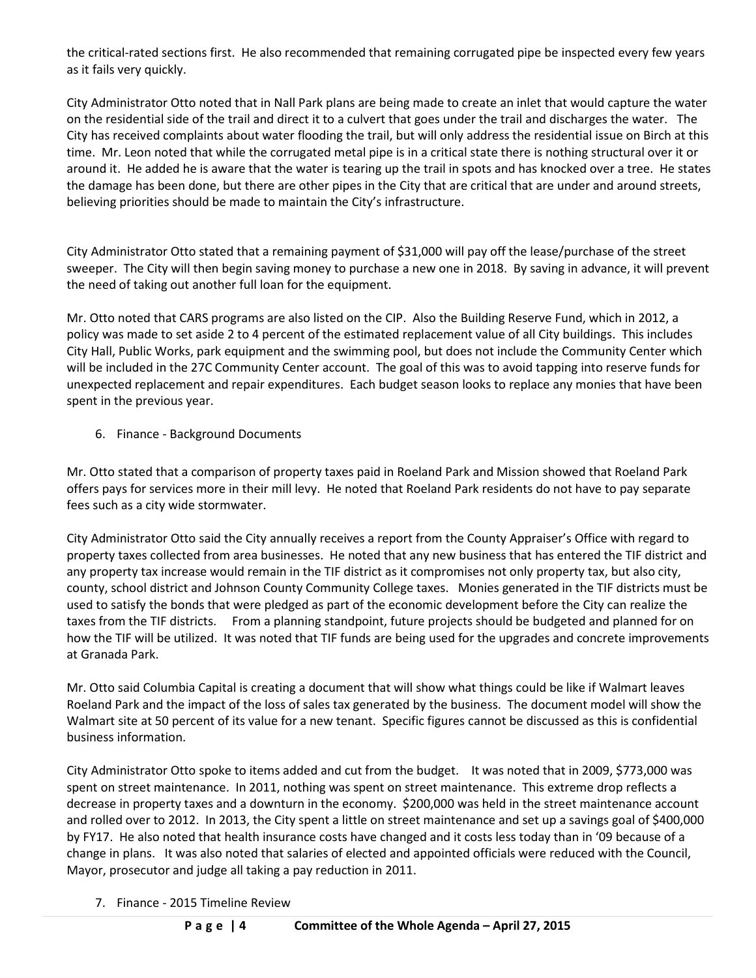the critical-rated sections first. He also recommended that remaining corrugated pipe be inspected every few years as it fails very quickly.

City Administrator Otto noted that in Nall Park plans are being made to create an inlet that would capture the water on the residential side of the trail and direct it to a culvert that goes under the trail and discharges the water. The City has received complaints about water flooding the trail, but will only address the residential issue on Birch at this time. Mr. Leon noted that while the corrugated metal pipe is in a critical state there is nothing structural over it or around it. He added he is aware that the water is tearing up the trail in spots and has knocked over a tree. He states the damage has been done, but there are other pipes in the City that are critical that are under and around streets, believing priorities should be made to maintain the City's infrastructure.

City Administrator Otto stated that a remaining payment of \$31,000 will pay off the lease/purchase of the street sweeper. The City will then begin saving money to purchase a new one in 2018. By saving in advance, it will prevent the need of taking out another full loan for the equipment.

Mr. Otto noted that CARS programs are also listed on the CIP. Also the Building Reserve Fund, which in 2012, a policy was made to set aside 2 to 4 percent of the estimated replacement value of all City buildings. This includes City Hall, Public Works, park equipment and the swimming pool, but does not include the Community Center which will be included in the 27C Community Center account. The goal of this was to avoid tapping into reserve funds for unexpected replacement and repair expenditures. Each budget season looks to replace any monies that have been spent in the previous year.

6. Finance - Background Documents

Mr. Otto stated that a comparison of property taxes paid in Roeland Park and Mission showed that Roeland Park offers pays for services more in their mill levy. He noted that Roeland Park residents do not have to pay separate fees such as a city wide stormwater.

City Administrator Otto said the City annually receives a report from the County Appraiser's Office with regard to property taxes collected from area businesses. He noted that any new business that has entered the TIF district and any property tax increase would remain in the TIF district as it compromises not only property tax, but also city, county, school district and Johnson County Community College taxes. Monies generated in the TIF districts must be used to satisfy the bonds that were pledged as part of the economic development before the City can realize the taxes from the TIF districts. From a planning standpoint, future projects should be budgeted and planned for on how the TIF will be utilized. It was noted that TIF funds are being used for the upgrades and concrete improvements at Granada Park.

Mr. Otto said Columbia Capital is creating a document that will show what things could be like if Walmart leaves Roeland Park and the impact of the loss of sales tax generated by the business. The document model will show the Walmart site at 50 percent of its value for a new tenant. Specific figures cannot be discussed as this is confidential business information.

City Administrator Otto spoke to items added and cut from the budget. It was noted that in 2009, \$773,000 was spent on street maintenance. In 2011, nothing was spent on street maintenance. This extreme drop reflects a decrease in property taxes and a downturn in the economy. \$200,000 was held in the street maintenance account and rolled over to 2012. In 2013, the City spent a little on street maintenance and set up a savings goal of \$400,000 by FY17. He also noted that health insurance costs have changed and it costs less today than in '09 because of a change in plans. It was also noted that salaries of elected and appointed officials were reduced with the Council, Mayor, prosecutor and judge all taking a pay reduction in 2011.

7. Finance - 2015 Timeline Review